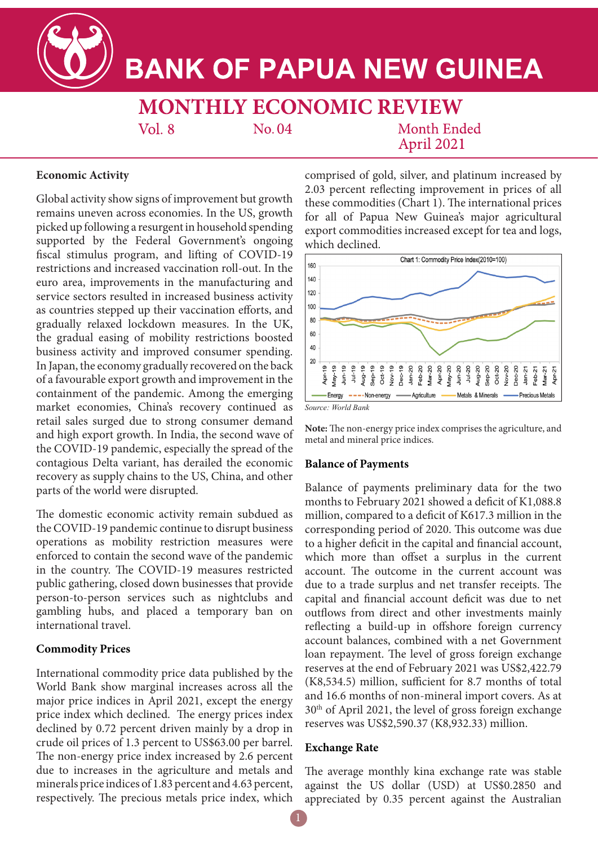**BANK OF PAPUA NEW GUINEA** 

**MONTHLY ECONOMIC REVIEW** 

 $Vol.8$ 

No.04

Month Ended April 2021

### **Economic Activity**

Global activity show signs of improvement but growth remains uneven across economies. In the US, growth picked up following a resurgent in household spending supported by the Federal Government's ongoing fiscal stimulus program, and lifting of COVID-19 restrictions and increased vaccination roll-out. In the euro area, improvements in the manufacturing and service sectors resulted in increased business activity as countries stepped up their vaccination efforts, and gradually relaxed lockdown measures. In the UK, the gradual easing of mobility restrictions boosted business activity and improved consumer spending. In Japan, the economy gradually recovered on the back of a favourable export growth and improvement in the containment of the pandemic. Among the emerging market economies, China's recovery continued as retail sales surged due to strong consumer demand and high export growth. In India, the second wave of the COVID-19 pandemic, especially the spread of the contagious Delta variant, has derailed the economic recovery as supply chains to the US, China, and other parts of the world were disrupted.

The domestic economic activity remain subdued as the COVID-19 pandemic continue to disrupt business operations as mobility restriction measures were enforced to contain the second wave of the pandemic in the country. The COVID-19 measures restricted public gathering, closed down businesses that provide person-to-person services such as nightclubs and gambling hubs, and placed a temporary ban on international travel.

# **Commodity Prices**

International commodity price data published by the World Bank show marginal increases across all the major price indices in April 2021, except the energy price index which declined. The energy prices index declined by 0.72 percent driven mainly by a drop in crude oil prices of 1.3 percent to US\$63.00 per barrel. The non-energy price index increased by 2.6 percent due to increases in the agriculture and metals and minerals price indices of 1.83 percent and 4.63 percent, respectively. The precious metals price index, which

comprised of gold, silver, and platinum increased by 2.03 percent reflecting improvement in prices of all these commodities (Chart 1). The international prices for all of Papua New Guinea's major agricultural export commodities increased except for tea and logs, which declined.



**Note:** The non-energy price index comprises the agriculture, and metal and mineral price indices.

### **Balance of Payments**

Balance of payments preliminary data for the two months to February 2021 showed a deficit of K1,088.8 million, compared to a deficit of K617.3 million in the corresponding period of 2020. This outcome was due to a higher deficit in the capital and financial account, which more than offset a surplus in the current account. The outcome in the current account was due to a trade surplus and net transfer receipts. The capital and financial account deficit was due to net outflows from direct and other investments mainly reflecting a build-up in offshore foreign currency account balances, combined with a net Government loan repayment. The level of gross foreign exchange reserves at the end of February 2021 was US\$2,422.79 (K8,534.5) million, sufficient for 8.7 months of total and 16.6 months of non-mineral import covers. As at 30th of April 2021, the level of gross foreign exchange reserves was US\$2,590.37 (K8,932.33) million.

### **Exchange Rate**

The average monthly kina exchange rate was stable against the US dollar (USD) at US\$0.2850 and appreciated by 0.35 percent against the Australian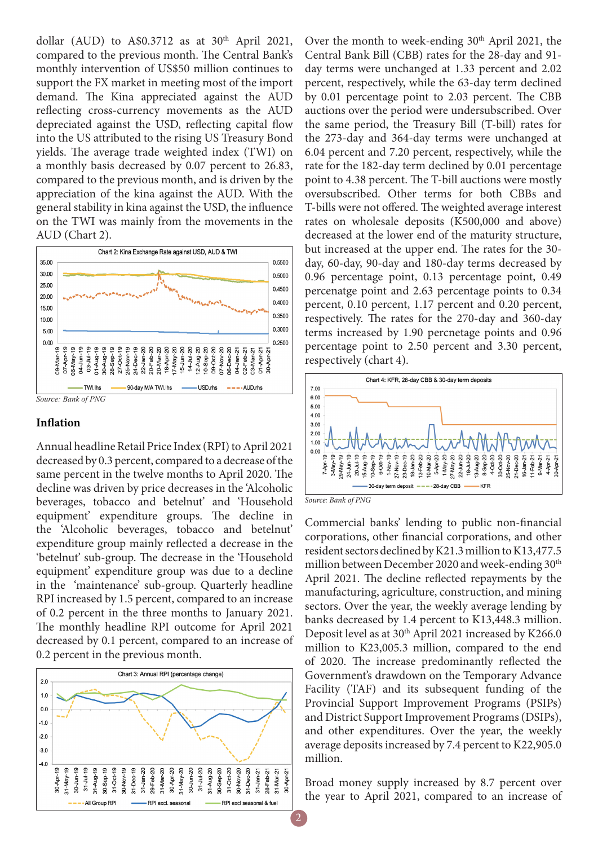dollar (AUD) to A\$0.3712 as at  $30<sup>th</sup>$  April 2021, compared to the previous month. The Central Bank's monthly intervention of US\$50 million continues to support the FX market in meeting most of the import demand. The Kina appreciated against the AUD reflecting cross-currency movements as the AUD depreciated against the USD, reflecting capital flow into the US attributed to the rising US Treasury Bond yields. The average trade weighted index (TWI) on a monthly basis decreased by 0.07 percent to 26.83, compared to the previous month, and is driven by the appreciation of the kina against the AUD. With the general stability in kina against the USD, the influence on the TWI was mainly from the movements in the AUD (Chart 2).



#### **Inflation**

Annual headline Retail Price Index (RPI) to April 2021 decreased by 0.3 percent, compared to a decrease of the same percent in the twelve months to April 2020. The decline was driven by price decreases in the 'Alcoholic beverages, tobacco and betelnut' and 'Household equipment' expenditure groups. The decline in the 'Alcoholic beverages, tobacco and betelnut' expenditure group mainly reflected a decrease in the 'betelnut' sub-group. The decrease in the 'Household equipment' expenditure group was due to a decline in the 'maintenance' sub-group. Quarterly headline RPI increased by 1.5 percent, compared to an increase of 0.2 percent in the three months to January 2021. The monthly headline RPI outcome for April 2021 decreased by 0.1 percent, compared to an increase of 0.2 percent in the previous month.



Over the month to week-ending 30<sup>th</sup> April 2021, the Central Bank Bill (CBB) rates for the 28-day and 91 day terms were unchanged at 1.33 percent and 2.02 percent, respectively, while the 63-day term declined by 0.01 percentage point to 2.03 percent. The CBB auctions over the period were undersubscribed. Over the same period, the Treasury Bill (T-bill) rates for the 273-day and 364-day terms were unchanged at 6.04 percent and 7.20 percent, respectively, while the rate for the 182-day term declined by 0.01 percentage point to 4.38 percent. The T-bill auctions were mostly oversubscribed. Other terms for both CBBs and T-bills were not offered. The weighted average interest rates on wholesale deposits (K500,000 and above) decreased at the lower end of the maturity structure, but increased at the upper end. The rates for the 30 day, 60-day, 90-day and 180-day terms decreased by 0.96 percentage point, 0.13 percentage point, 0.49 percenatge point and 2.63 percentage points to 0.34 percent, 0.10 percent, 1.17 percent and 0.20 percent, respectively. The rates for the 270-day and 360-day terms increased by 1.90 percnetage points and 0.96 percentage point to 2.50 percent and 3.30 percent, respectively (chart 4).



*Source: Bank of PNG*

Commercial banks' lending to public non-financial corporations, other financial corporations, and other resident sectors declined by K21.3 million to K13,477.5 million between December 2020 and week-ending 30<sup>th</sup> April 2021. The decline reflected repayments by the manufacturing, agriculture, construction, and mining sectors. Over the year, the weekly average lending by banks decreased by 1.4 percent to K13,448.3 million. Deposit level as at 30<sup>th</sup> April 2021 increased by K266.0 million to K23,005.3 million, compared to the end of 2020. The increase predominantly reflected the Government's drawdown on the Temporary Advance Facility (TAF) and its subsequent funding of the Provincial Support Improvement Programs (PSIPs) and District Support Improvement Programs (DSIPs), and other expenditures. Over the year, the weekly average deposits increased by 7.4 percent to K22,905.0 million.

Broad money supply increased by 8.7 percent over the year to April 2021, compared to an increase of